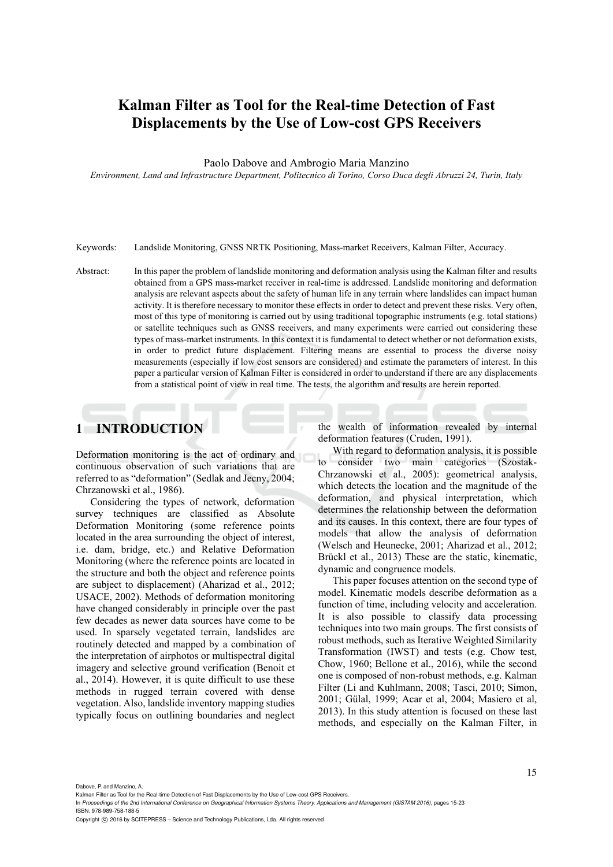# **Kalman Filter as Tool for the Real-time Detection of Fast Displacements by the Use of Low-cost GPS Receivers**

Paolo Dabove and Ambrogio Maria Manzino

*Environment, Land and Infrastructure Department, Politecnico di Torino, Corso Duca degli Abruzzi 24, Turin, Italy* 

Keywords: Landslide Monitoring, GNSS NRTK Positioning, Mass-market Receivers, Kalman Filter, Accuracy.

Abstract: In this paper the problem of landslide monitoring and deformation analysis using the Kalman filter and results obtained from a GPS mass-market receiver in real-time is addressed. Landslide monitoring and deformation analysis are relevant aspects about the safety of human life in any terrain where landslides can impact human activity. It is therefore necessary to monitor these effects in order to detect and prevent these risks. Very often, most of this type of monitoring is carried out by using traditional topographic instruments (e.g. total stations) or satellite techniques such as GNSS receivers, and many experiments were carried out considering these types of mass-market instruments. In this context it is fundamental to detect whether or not deformation exists, in order to predict future displacement. Filtering means are essential to process the diverse noisy measurements (especially if low cost sensors are considered) and estimate the parameters of interest. In this paper a particular version of Kalman Filter is considered in order to understand if there are any displacements from a statistical point of view in real time. The tests, the algorithm and results are herein reported.

## **1 INTRODUCTION**

Deformation monitoring is the act of ordinary and continuous observation of such variations that are referred to as "deformation" (Sedlak and Jecny, 2004; Chrzanowski et al., 1986).

Considering the types of network, deformation survey techniques are classified as Absolute Deformation Monitoring (some reference points located in the area surrounding the object of interest, i.e. dam, bridge, etc.) and Relative Deformation Monitoring (where the reference points are located in the structure and both the object and reference points are subject to displacement) (Aharizad et al., 2012; USACE, 2002). Methods of deformation monitoring have changed considerably in principle over the past few decades as newer data sources have come to be used. In sparsely vegetated terrain, landslides are routinely detected and mapped by a combination of the interpretation of airphotos or multispectral digital imagery and selective ground verification (Benoit et al., 2014). However, it is quite difficult to use these methods in rugged terrain covered with dense vegetation. Also, landslide inventory mapping studies typically focus on outlining boundaries and neglect

the wealth of information revealed by internal deformation features (Cruden, 1991).

With regard to deformation analysis, it is possible to consider two main categories (Szostak-Chrzanowski et al., 2005): geometrical analysis, which detects the location and the magnitude of the deformation, and physical interpretation, which determines the relationship between the deformation and its causes. In this context, there are four types of models that allow the analysis of deformation (Welsch and Heunecke, 2001; Aharizad et al., 2012; Brückl et al., 2013) These are the static, kinematic, dynamic and congruence models.

This paper focuses attention on the second type of model. Kinematic models describe deformation as a function of time, including velocity and acceleration. It is also possible to classify data processing techniques into two main groups. The first consists of robust methods, such as Iterative Weighted Similarity Transformation (IWST) and tests (e.g. Chow test, Chow, 1960; Bellone et al., 2016), while the second one is composed of non-robust methods, e.g. Kalman Filter (Li and Kuhlmann, 2008; Tasci, 2010; Simon, 2001; Gülal, 1999; Acar et al, 2004; Masiero et al, 2013). In this study attention is focused on these last methods, and especially on the Kalman Filter, in

Dabove, P. and Manzino, A.

In *Proceedings of the 2nd International Conference on Geographical Information Systems Theory, Applications and Management (GISTAM 2016)*, pages 15-23 ISBN: 978-989-758-188-5

Copyright (C) 2016 by SCITEPRESS - Science and Technology Publications, Lda. All rights reserved

Kalman Filter as Tool for the Real-time Detection of Fast Displacements by the Use of Low-cost GPS Receivers.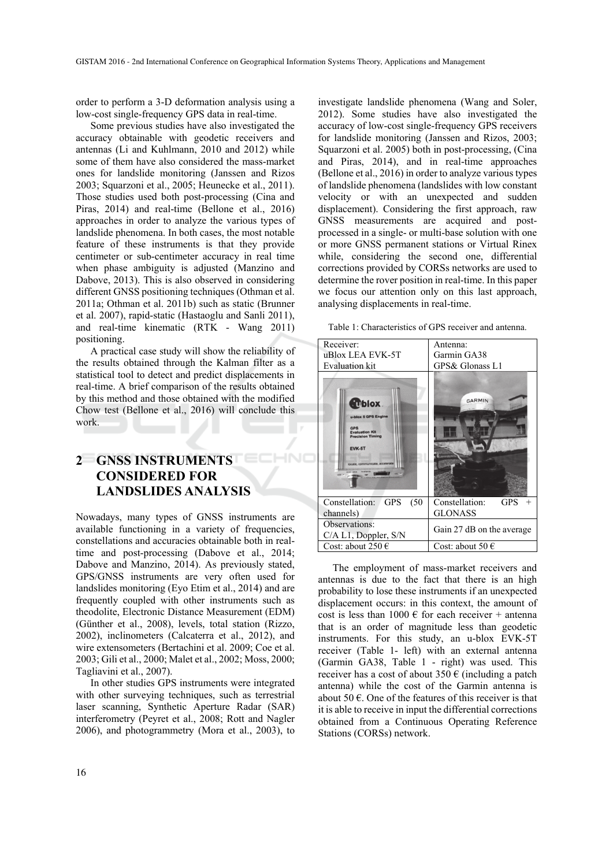-INC

order to perform a 3-D deformation analysis using a low-cost single-frequency GPS data in real-time.

Some previous studies have also investigated the accuracy obtainable with geodetic receivers and antennas (Li and Kuhlmann, 2010 and 2012) while some of them have also considered the mass-market ones for landslide monitoring (Janssen and Rizos 2003; Squarzoni et al., 2005; Heunecke et al., 2011). Those studies used both post-processing (Cina and Piras, 2014) and real-time (Bellone et al., 2016) approaches in order to analyze the various types of landslide phenomena. In both cases, the most notable feature of these instruments is that they provide centimeter or sub-centimeter accuracy in real time when phase ambiguity is adjusted (Manzino and Dabove, 2013). This is also observed in considering different GNSS positioning techniques (Othman et al. 2011a; Othman et al. 2011b) such as static (Brunner et al. 2007), rapid-static (Hastaoglu and Sanli 2011), and real-time kinematic (RTK - Wang 2011) positioning.

A practical case study will show the reliability of the results obtained through the Kalman filter as a statistical tool to detect and predict displacements in real-time. A brief comparison of the results obtained by this method and those obtained with the modified Chow test (Bellone et al., 2016) will conclude this work.

#### **2 GNSS INSTRUMENTS CONSIDERED FOR LANDSLIDES ANALYSIS**

Nowadays, many types of GNSS instruments are available functioning in a variety of frequencies, constellations and accuracies obtainable both in realtime and post-processing (Dabove et al., 2014; Dabove and Manzino, 2014). As previously stated, GPS/GNSS instruments are very often used for landslides monitoring (Eyo Etim et al., 2014) and are frequently coupled with other instruments such as theodolite, Electronic Distance Measurement (EDM) (Günther et al., 2008), levels, total station (Rizzo, 2002), inclinometers (Calcaterra et al., 2012), and wire extensometers (Bertachini et al. 2009; Coe et al. 2003; Gili et al., 2000; Malet et al., 2002; Moss, 2000; Tagliavini et al., 2007).

In other studies GPS instruments were integrated with other surveying techniques, such as terrestrial laser scanning, Synthetic Aperture Radar (SAR) interferometry (Peyret et al., 2008; Rott and Nagler 2006), and photogrammetry (Mora et al., 2003), to

investigate landslide phenomena (Wang and Soler, 2012). Some studies have also investigated the accuracy of low-cost single-frequency GPS receivers for landslide monitoring (Janssen and Rizos, 2003; Squarzoni et al. 2005) both in post-processing, (Cina and Piras, 2014), and in real-time approaches (Bellone et al., 2016) in order to analyze various types of landslide phenomena (landslides with low constant velocity or with an unexpected and sudden displacement). Considering the first approach, raw GNSS measurements are acquired and postprocessed in a single- or multi-base solution with one or more GNSS permanent stations or Virtual Rinex while, considering the second one, differential corrections provided by CORSs networks are used to determine the rover position in real-time. In this paper we focus our attention only on this last approach, analysing displacements in real-time.

Table 1: Characteristics of GPS receiver and antenna.

| Receiver:                                                                                                                                    | Antenna:                     |
|----------------------------------------------------------------------------------------------------------------------------------------------|------------------------------|
| uBlox LEA EVK-5T                                                                                                                             | Garmin GA38                  |
| <b>Evaluation kit</b>                                                                                                                        | GPS& Glonass L1              |
| <b>C</b> blox<br>u-blox 5 GPS Engine<br><b>GPS</b><br><b>Evaluation Kit</b><br><b>Precision Timing</b><br><b>EVK-5T</b><br>ocate, communicat | <b>GARMIN</b>                |
| Constellation:<br><b>GPS</b><br>(50)                                                                                                         | Constellation:<br><b>GPS</b> |
| channels)                                                                                                                                    | <b>GLONASS</b>               |
| Observations:<br>C/A L1, Doppler, S/N                                                                                                        | Gain 27 dB on the average    |
| Cost: about 250 $\in$                                                                                                                        | Cost: about 50 $\epsilon$    |

The employment of mass-market receivers and antennas is due to the fact that there is an high probability to lose these instruments if an unexpected displacement occurs: in this context, the amount of cost is less than  $1000 \text{ } \in$  for each receiver + antenna that is an order of magnitude less than geodetic instruments. For this study, an u-blox EVK-5T receiver (Table 1- left) with an external antenna (Garmin GA38, Table 1 - right) was used. This receiver has a cost of about  $350 \text{ } \in$  (including a patch antenna) while the cost of the Garmin antenna is about 50  $\epsilon$ . One of the features of this receiver is that it is able to receive in input the differential corrections obtained from a Continuous Operating Reference Stations (CORSs) network.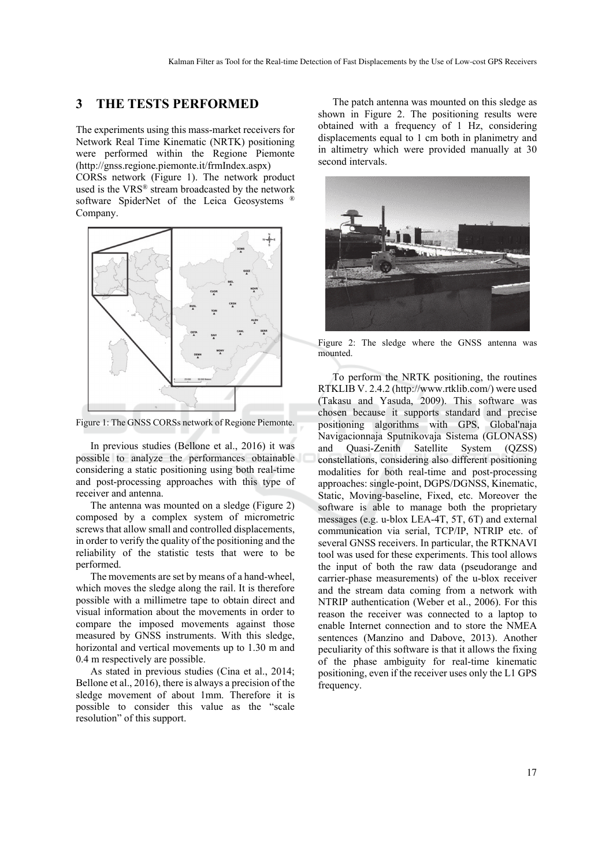#### **3 THE TESTS PERFORMED**

The experiments using this mass-market receivers for Network Real Time Kinematic (NRTK) positioning were performed within the Regione Piemonte (http://gnss.regione.piemonte.it/frmIndex.aspx) CORSs network (Figure 1). The network product used is the VRS® stream broadcasted by the network software SpiderNet of the Leica Geosystems ® Company.



Figure 1: The GNSS CORSs network of Regione Piemonte.

In previous studies (Bellone et al., 2016) it was possible to analyze the performances obtainable considering a static positioning using both real-time and post-processing approaches with this type of receiver and antenna.

The antenna was mounted on a sledge (Figure 2) composed by a complex system of micrometric screws that allow small and controlled displacements, in order to verify the quality of the positioning and the reliability of the statistic tests that were to be performed.

The movements are set by means of a hand-wheel, which moves the sledge along the rail. It is therefore possible with a millimetre tape to obtain direct and visual information about the movements in order to compare the imposed movements against those measured by GNSS instruments. With this sledge, horizontal and vertical movements up to 1.30 m and 0.4 m respectively are possible.

As stated in previous studies (Cina et al., 2014; Bellone et al., 2016), there is always a precision of the sledge movement of about 1mm. Therefore it is possible to consider this value as the "scale resolution" of this support.

The patch antenna was mounted on this sledge as shown in Figure 2. The positioning results were obtained with a frequency of 1 Hz, considering displacements equal to 1 cm both in planimetry and in altimetry which were provided manually at 30 second intervals.



Figure 2: The sledge where the GNSS antenna was mounted.

To perform the NRTK positioning, the routines RTKLIB V. 2.4.2 (http://www.rtklib.com/) were used (Takasu and Yasuda, 2009). This software was chosen because it supports standard and precise positioning algorithms with GPS, Global'naja Navigacionnaja Sputnikovaja Sistema (GLONASS) and Quasi-Zenith Satellite System (QZSS) constellations, considering also different positioning modalities for both real-time and post-processing approaches: single-point, DGPS/DGNSS, Kinematic, Static, Moving-baseline, Fixed, etc. Moreover the software is able to manage both the proprietary messages (e.g. u-blox LEA-4T, 5T, 6T) and external communication via serial, TCP/IP, NTRIP etc. of several GNSS receivers. In particular, the RTKNAVI tool was used for these experiments. This tool allows the input of both the raw data (pseudorange and carrier-phase measurements) of the u-blox receiver and the stream data coming from a network with NTRIP authentication (Weber et al., 2006). For this reason the receiver was connected to a laptop to enable Internet connection and to store the NMEA sentences (Manzino and Dabove, 2013). Another peculiarity of this software is that it allows the fixing of the phase ambiguity for real-time kinematic positioning, even if the receiver uses only the L1 GPS frequency.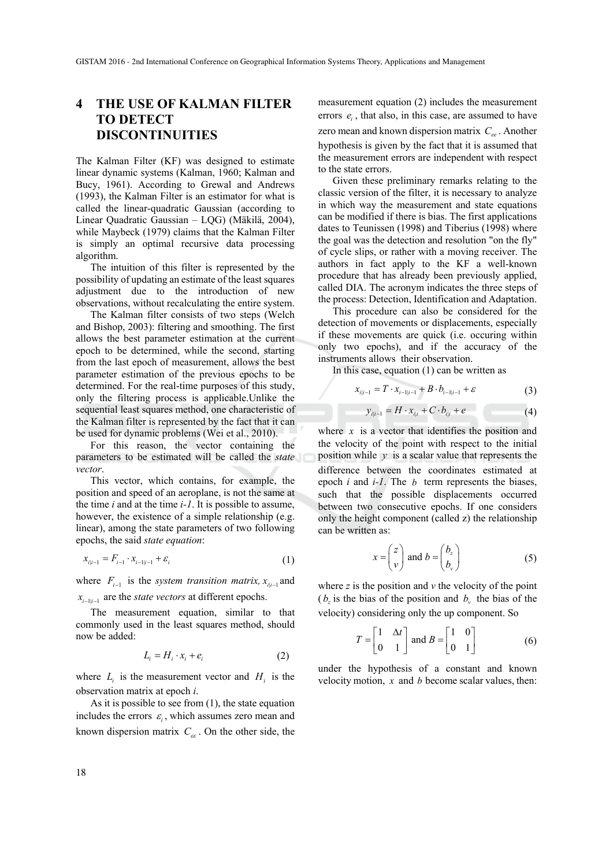## **4 THE USE OF KALMAN FILTER TO DETECT DISCONTINUITIES**

The Kalman Filter (KF) was designed to estimate linear dynamic systems (Kalman, 1960; Kalman and Bucy, 1961). According to Grewal and Andrews (1993), the Kalman Filter is an estimator for what is called the linear-quadratic Gaussian (according to Linear Quadratic Gaussian – LQG) (Mäkilä, 2004), while Maybeck (1979) claims that the Kalman Filter is simply an optimal recursive data processing algorithm.

The intuition of this filter is represented by the possibility of updating an estimate of the least squares adjustment due to the introduction of new observations, without recalculating the entire system.

The Kalman filter consists of two steps (Welch and Bishop, 2003): filtering and smoothing. The first allows the best parameter estimation at the current epoch to be determined, while the second, starting from the last epoch of measurement, allows the best parameter estimation of the previous epochs to be determined. For the real-time purposes of this study, only the filtering process is applicable.Unlike the sequential least squares method, one characteristic of the Kalman filter is represented by the fact that it can be used for dynamic problems (Wei et al., 2010).

For this reason, the vector containing the parameters to be estimated will be called the *state vector*.

This vector, which contains, for example, the position and speed of an aeroplane, is not the same at the time *i* and at the time *i-1*. It is possible to assume, however, the existence of a simple relationship (e.g. linear), among the state parameters of two following epochs, the said *state equation*:

$$
x_{i|i-1} = F_{i-1} \cdot x_{i-1|i-1} + \varepsilon_i \tag{1}
$$

where  $F_{i-1}$  is the *system transition matrix,*  $x_{i,i-1}$  and  $x_{i-1|i-1}$  are the *state vectors* at different epochs.

The measurement equation, similar to that commonly used in the least squares method, should now be added:

$$
L_i = H_i \cdot x_i + e_i \tag{2}
$$

where  $L_i$  is the measurement vector and  $H_i$  is the observation matrix at epoch *i*.

As it is possible to see from (1), the state equation includes the errors  $\varepsilon$ , which assumes zero mean and known dispersion matrix  $C_{\alpha}$ . On the other side, the

measurement equation (2) includes the measurement errors  $e_i$ , that also, in this case, are assumed to have zero mean and known dispersion matrix  $C_{ee}$ . Another hypothesis is given by the fact that it is assumed that the measurement errors are independent with respect to the state errors.

Given these preliminary remarks relating to the classic version of the filter, it is necessary to analyze in which way the measurement and state equations can be modified if there is bias. The first applications dates to Teunissen (1998) and Tiberius (1998) where the goal was the detection and resolution "on the fly" of cycle slips, or rather with a moving receiver. The authors in fact apply to the KF a well-known procedure that has already been previously applied, called DIA. The acronym indicates the three steps of the process: Detection, Identification and Adaptation.

This procedure can also be considered for the detection of movements or displacements, especially if these movements are quick (i.e. occuring within only two epochs), and if the accuracy of the instruments allows their observation.

In this case, equation (1) can be written as

$$
x_{i|i-1} = T \cdot x_{i-1|i-1} + B \cdot b_{i-1|i-1} + \varepsilon \tag{3}
$$

$$
y_{i|i-1} = H \cdot x_{i|i} + C \cdot b_{i|i} + e \tag{4}
$$

where  $x$  is a vector that identifies the position and the velocity of the point with respect to the initial position while *y* is a scalar value that represents the difference between the coordinates estimated at epoch *i* and *i-1*. The *b* term represents the biases, such that the possible displacements occurred between two consecutive epochs. If one considers only the height component (called z) the relationship can be written as:

$$
x = \begin{pmatrix} z \\ v \end{pmatrix} \text{ and } b = \begin{pmatrix} b_z \\ b_v \end{pmatrix}
$$
 (5)

where  $z$  is the position and  $v$  the velocity of the point  $(b_z)$  is the bias of the position and  $b_y$  the bias of the velocity) considering only the up component. So

$$
T = \begin{bmatrix} 1 & \Delta t \\ 0 & 1 \end{bmatrix} \text{ and } B = \begin{bmatrix} 1 & 0 \\ 0 & 1 \end{bmatrix}
$$
 (6)

under the hypothesis of a constant and known velocity motion, *x* and *b* become scalar values, then: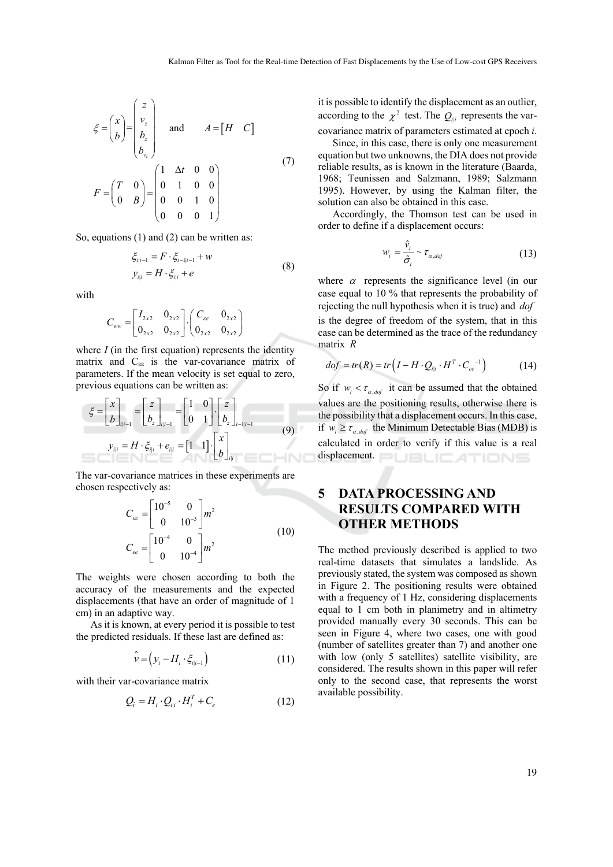$$
\xi = \begin{pmatrix} x \\ b \end{pmatrix} = \begin{pmatrix} z \\ v_z \\ b_z \\ b_z \end{pmatrix} \quad \text{and} \quad A = \begin{bmatrix} H & C \end{bmatrix}
$$

$$
F = \begin{pmatrix} T & 0 \\ 0 & B \end{pmatrix} = \begin{pmatrix} 1 & \Delta t & 0 & 0 \\ 0 & 1 & 0 & 0 \\ 0 & 0 & 1 & 0 \\ 0 & 0 & 0 & 1 \end{pmatrix}
$$
(7)

So, equations (1) and (2) can be written as:

$$
\xi_{i|i-1} = F \cdot \xi_{i-1|i-1} + w
$$
  
\n
$$
y_{i|i} = H \cdot \xi_{i|i} + e
$$
\n(8)

with

$$
C_{ww} = \begin{bmatrix} I_{2x2} & 0_{2x2} \\ 0_{2x2} & 0_{2x2} \end{bmatrix} \cdot \begin{pmatrix} C_{ee} & 0_{2x2} \\ 0_{2x2} & 0_{2x2} \end{pmatrix}
$$

where *I* (in the first equation) represents the identity matrix and  $C_{\varepsilon\varepsilon}$  is the var-covariance matrix of parameters. If the mean velocity is set equal to zero, previous equations can be written as:

$$
\xi = \begin{bmatrix} x \\ b \end{bmatrix}_{i|i-1} = \begin{bmatrix} z \\ b_z \end{bmatrix}_{i|i-1} = \begin{bmatrix} 1 & 0 \\ 0 & 1 \end{bmatrix} \cdot \begin{bmatrix} z \\ b_z \end{bmatrix}_{i-1|i-1}
$$
  

$$
y_{i|i} = H \cdot \xi_{i|i} + e_{i|i} = \begin{bmatrix} 1 & 1 \end{bmatrix} \cdot \begin{bmatrix} x \\ b \end{bmatrix}_{i|i}
$$
 (9)

The var-covariance matrices in these experiments are chosen respectively as:

$$
C_{ce} = \begin{bmatrix} 10^{-5} & 0 \\ 0 & 10^{-3} \end{bmatrix} m^2
$$
  
\n
$$
C_{ee} = \begin{bmatrix} 10^{-4} & 0 \\ 0 & 10^{-4} \end{bmatrix} m^2
$$
 (10)

The weights were chosen according to both the accuracy of the measurements and the expected displacements (that have an order of magnitude of 1 cm) in an adaptive way.

As it is known, at every period it is possible to test the predicted residuals. If these last are defined as:

$$
\hat{\mathbf{v}} = (\mathbf{y}_i - H_i \cdot \xi_{i|i-1}) \tag{11}
$$

with their var-covariance matrix

$$
Q_{\hat{v}} = H_i \cdot Q_{i|i} \cdot H_i^T + C_e \tag{12}
$$

it is possible to identify the displacement as an outlier, according to the  $\chi^2$  test. The  $Q_{ii}$  represents the varcovariance matrix of parameters estimated at epoch *i*.

Since, in this case, there is only one measurement equation but two unknowns, the DIA does not provide reliable results, as is known in the literature (Baarda, 1968; Teunissen and Salzmann, 1989; Salzmann 1995). However, by using the Kalman filter, the solution can also be obtained in this case.

Accordingly, the Thomson test can be used in order to define if a displacement occurs:

$$
w_i = \frac{\hat{v}_i}{\hat{\sigma}_i} \sim \tau_{\alpha, dof} \tag{13}
$$

where  $\alpha$  represents the significance level (in our case equal to 10 % that represents the probability of rejecting the null hypothesis when it is true) and *dof* is the degree of freedom of the system, that in this case can be determined as the trace of the redundancy matrix *R*

$$
dof = tr(R) = tr(I - H \cdot Q_{i|i} \cdot H^T \cdot C_{ee}^{-1})
$$
 (14)

So if  $w_i < \tau_{\alpha, \text{dof}}$  it can be assumed that the obtained values are the positioning results, otherwise there is the possibility that a displacement occurs. In this case, if  $w_i \ge \tau_{\alpha, \text{dof}}$  the Minimum Detectable Bias (MDB) is calculated in order to verify if this value is a real displacement. **DUBLICATIONS** 

## **5 DATA PROCESSING AND RESULTS COMPARED WITH OTHER METHODS**

The method previously described is applied to two real-time datasets that simulates a landslide. As previously stated, the system was composed as shown in Figure 2. The positioning results were obtained with a frequency of 1 Hz, considering displacements equal to 1 cm both in planimetry and in altimetry provided manually every 30 seconds. This can be seen in Figure 4, where two cases, one with good (number of satellites greater than 7) and another one with low (only 5 satellites) satellite visibility, are considered. The results shown in this paper will refer only to the second case, that represents the worst available possibility.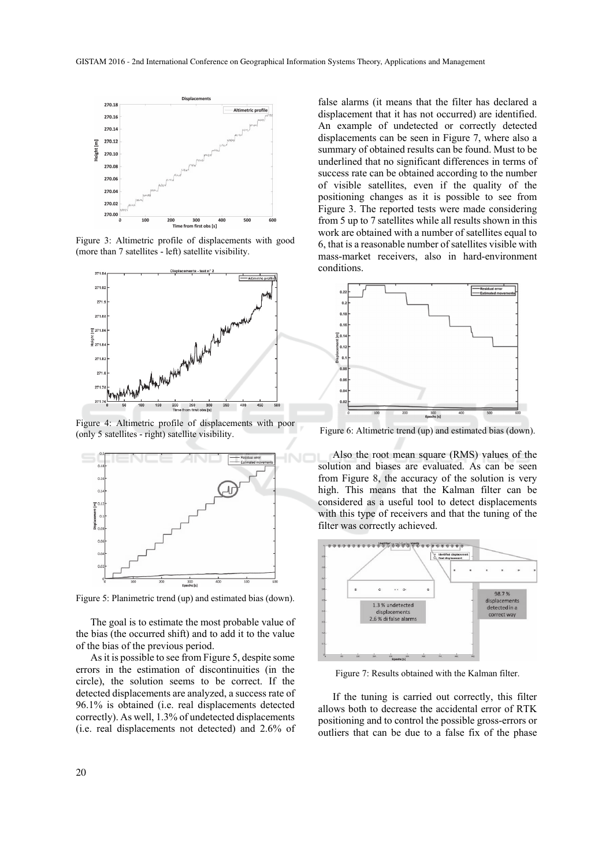

Figure 3: Altimetric profile of displacements with good (more than 7 satellites - left) satellite visibility.



Figure 4: Altimetric profile of displacements with poor (only 5 satellites - right) satellite visibility.



Figure 5: Planimetric trend (up) and estimated bias (down).

The goal is to estimate the most probable value of the bias (the occurred shift) and to add it to the value of the bias of the previous period.

As it is possible to see from Figure 5, despite some errors in the estimation of discontinuities (in the circle), the solution seems to be correct. If the detected displacements are analyzed, a success rate of 96.1% is obtained (i.e. real displacements detected correctly). As well, 1.3% of undetected displacements (i.e. real displacements not detected) and 2.6% of

false alarms (it means that the filter has declared a displacement that it has not occurred) are identified. An example of undetected or correctly detected displacements can be seen in Figure 7, where also a summary of obtained results can be found. Must to be underlined that no significant differences in terms of success rate can be obtained according to the number of visible satellites, even if the quality of the positioning changes as it is possible to see from Figure 3. The reported tests were made considering from 5 up to 7 satellites while all results shown in this work are obtained with a number of satellites equal to 6, that is a reasonable number of satellites visible with mass-market receivers, also in hard-environment conditions.



Figure 6: Altimetric trend (up) and estimated bias (down).

Also the root mean square (RMS) values of the solution and biases are evaluated. As can be seen from Figure 8, the accuracy of the solution is very high. This means that the Kalman filter can be considered as a useful tool to detect displacements with this type of receivers and that the tuning of the filter was correctly achieved.



Figure 7: Results obtained with the Kalman filter.

If the tuning is carried out correctly, this filter allows both to decrease the accidental error of RTK positioning and to control the possible gross-errors or outliers that can be due to a false fix of the phase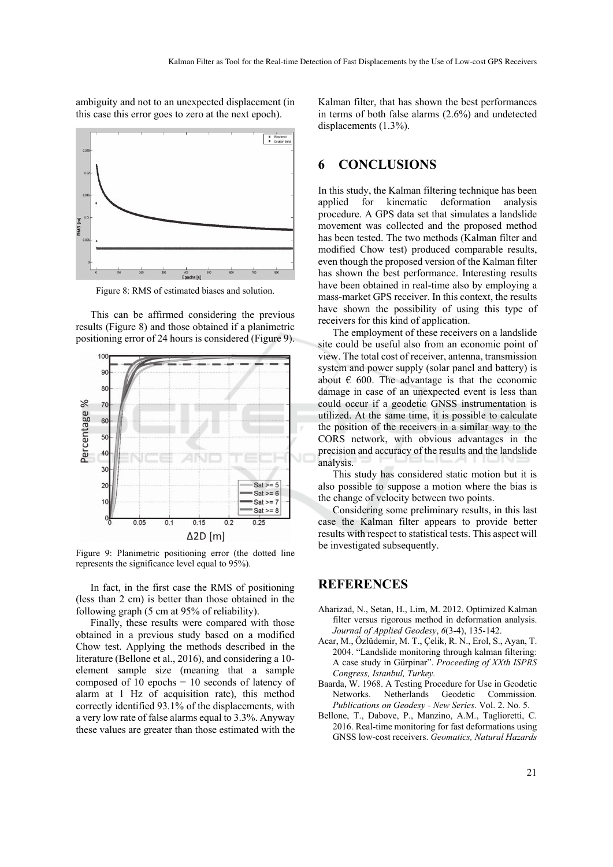ambiguity and not to an unexpected displacement (in this case this error goes to zero at the next epoch).



Figure 8: RMS of estimated biases and solution.

This can be affirmed considering the previous results (Figure 8) and those obtained if a planimetric positioning error of 24 hours is considered (Figure 9).



Figure 9: Planimetric positioning error (the dotted line represents the significance level equal to 95%).

In fact, in the first case the RMS of positioning (less than 2 cm) is better than those obtained in the following graph (5 cm at 95% of reliability).

Finally, these results were compared with those obtained in a previous study based on a modified Chow test. Applying the methods described in the literature (Bellone et al., 2016), and considering a 10 element sample size (meaning that a sample composed of 10 epochs  $= 10$  seconds of latency of alarm at 1 Hz of acquisition rate), this method correctly identified 93.1% of the displacements, with a very low rate of false alarms equal to 3.3%. Anyway these values are greater than those estimated with the

Kalman filter, that has shown the best performances in terms of both false alarms (2.6%) and undetected displacements (1.3%).

#### **6 CONCLUSIONS**

In this study, the Kalman filtering technique has been applied for kinematic deformation analysis procedure. A GPS data set that simulates a landslide movement was collected and the proposed method has been tested. The two methods (Kalman filter and modified Chow test) produced comparable results, even though the proposed version of the Kalman filter has shown the best performance. Interesting results have been obtained in real-time also by employing a mass-market GPS receiver. In this context, the results have shown the possibility of using this type of receivers for this kind of application.

The employment of these receivers on a landslide site could be useful also from an economic point of view. The total cost of receiver, antenna, transmission system and power supply (solar panel and battery) is about  $\epsilon$  600. The advantage is that the economic damage in case of an unexpected event is less than could occur if a geodetic GNSS instrumentation is utilized. At the same time, it is possible to calculate the position of the receivers in a similar way to the CORS network, with obvious advantages in the precision and accuracy of the results and the landslide analysis.

This study has considered static motion but it is also possible to suppose a motion where the bias is the change of velocity between two points.

Considering some preliminary results, in this last case the Kalman filter appears to provide better results with respect to statistical tests. This aspect will be investigated subsequently.

#### **REFERENCES**

- Aharizad, N., Setan, H., Lim, M. 2012. Optimized Kalman filter versus rigorous method in deformation analysis. *Journal of Applied Geodesy*, *6*(3-4), 135-142.
- Acar, M., Özlüdemir, M. T., Çelik, R. N., Erol, S., Ayan, T. 2004. "Landslide monitoring through kalman filtering: A case study in Gürpinar". *Proceeding of XXth ISPRS Congress, Istanbul, Turkey.*
- Baarda, W. 1968. A Testing Procedure for Use in Geodetic Networks. Netherlands Geodetic Commission. *Publications on Geodesy - New Series*. Vol. 2. No. 5.
- Bellone, T., Dabove, P., Manzino, A.M., Taglioretti, C. 2016. Real-time monitoring for fast deformations using GNSS low-cost receivers. *Geomatics, Natural Hazards*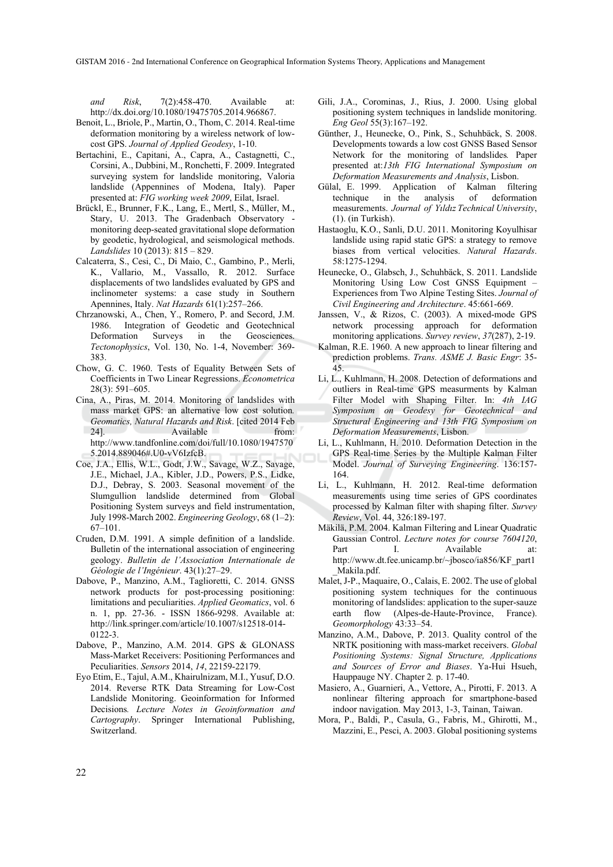GISTAM 2016 - 2nd International Conference on Geographical Information Systems Theory, Applications and Management

*and Risk*, 7(2):458-470. Available at: http://dx.doi.org/10.1080/19475705.2014.966867.

- Benoit, L., Briole, P., Martin, O., Thom, C. 2014. Real-time deformation monitoring by a wireless network of lowcost GPS. *Journal of Applied Geodesy*, 1-10.
- Bertachini, E., Capitani, A., Capra, A., Castagnetti, C., Corsini, A., Dubbini, M., Ronchetti, F. 2009. Integrated surveying system for landslide monitoring, Valoria landslide (Appennines of Modena, Italy). Paper presented at: *FIG working week 2009*, Eilat, Israel.
- Brückl, E., Brunner, F.K., Lang, E., Mertl, S., Müller, M., Stary, U. 2013. The Gradenbach Observatory monitoring deep-seated gravitational slope deformation by geodetic, hydrological, and seismological methods. *Landslides* 10 (2013): 815 – 829.
- Calcaterra, S., Cesi, C., Di Maio, C., Gambino, P., Merli, K., Vallario, M., Vassallo, R. 2012. Surface displacements of two landslides evaluated by GPS and inclinometer systems: a case study in Southern Apennines, Italy. *Nat Hazards* 61(1):257–266.
- Chrzanowski, A., Chen, Y., Romero, P. and Secord, J.M. 1986. Integration of Geodetic and Geotechnical Deformation Surveys in the Geosciences. *Tectonophysics*, Vol. 130, No. 1-4, November: 369- 383.
- Chow, G. C. 1960. Tests of Equality Between Sets of Coefficients in Two Linear Regressions. *Econometrica* 28(3): 591–605.
- Cina, A., Piras, M. 2014. Monitoring of landslides with mass market GPS: an alternative low cost solution*. Geomatics, Natural Hazards and Risk*. [cited 2014 Feb 24]. Available from: http://www.tandfonline.com/doi/full/10.1080/1947570 5.2014.889046#.U0-vV6IzfcB.
- Coe, J.A., Ellis, W.L., Godt, J.W., Savage, W.Z., Savage, J.E., Michael, J.A., Kibler, J.D., Powers, P.S., Lidke, D.J., Debray, S. 2003. Seasonal movement of the Slumgullion landslide determined from Global Positioning System surveys and field instrumentation, July 1998-March 2002. *Engineering Geology*, 68 (1–2): 67–101.
- Cruden, D.M. 1991. A simple definition of a landslide. Bulletin of the international association of engineering geology. *Bulletin de l'Association Internationale de Géologie de l'Ingénieur*. 43(1):27–29.
- Dabove, P., Manzino, A.M., Taglioretti, C. 2014. GNSS network products for post-processing positioning: limitations and peculiarities. *Applied Geomatics*, vol. 6 n. 1, pp. 27-36. - ISSN 1866-9298. Available at: http://link.springer.com/article/10.1007/s12518-014- 0122-3.
- Dabove, P., Manzino, A.M. 2014. GPS & GLONASS Mass-Market Receivers: Positioning Performances and Peculiarities. *Sensors* 2014, *14*, 22159-22179.
- Eyo Etim, E., Tajul, A.M., Khairulnizam, M.I., Yusuf, D.O. 2014. Reverse RTK Data Streaming for Low-Cost Landslide Monitoring. Geoinformation for Informed Decisions*. Lecture Notes in Geoinformation and Cartography*. Springer International Publishing, Switzerland.
- Gili, J.A., Corominas, J., Rius, J. 2000. Using global positioning system techniques in landslide monitoring. *Eng Geol* 55(3):167–192.
- Günther, J., Heunecke, O., Pink, S., Schuhbäck, S. 2008. Developments towards a low cost GNSS Based Sensor Network for the monitoring of landslides*.* Paper presented at:*13th FIG International Symposium on Deformation Measurements and Analysis*, Lisbon.
- Gülal, E. 1999. Application of Kalman filtering technique in the analysis of deformation measurements. *Journal of Yıldız Technical University*, (1). (in Turkish).
- Hastaoglu, K.O., Sanli, D.U. 2011. Monitoring Koyulhisar landslide using rapid static GPS: a strategy to remove biases from vertical velocities. *Natural Hazards*. 58:1275-1294.
- Heunecke, O., Glabsch, J., Schuhbäck, S. 2011. Landslide Monitoring Using Low Cost GNSS Equipment – Experiences from Two Alpine Testing Sites. *Journal of Civil Engineering and Architecture*. 45:661-669.
- Janssen, V., & Rizos, C. (2003). A mixed-mode GPS network processing approach for deformation monitoring applications. *Survey review*, *37*(287), 2-19.
- Kalman, R.E. 1960. A new approach to linear filtering and prediction problems. *Trans. ASME J. Basic Engr*: 35- 45.
- Li, L., Kuhlmann, H. 2008. Detection of deformations and outliers in Real-time GPS measurments by Kalman Filter Model with Shaping Filter. In: *4th IAG Symposium on Geodesy for Geotechnical and Structural Engineering and 13th FIG Symposium on Deformation Measurements*, Lisbon.
- Li, L., Kuhlmann, H. 2010. Deformation Detection in the GPS Real-time Series by the Multiple Kalman Filter Model. *Journal of Surveying Engineering*. 136:157- 164.
- Li, L., Kuhlmann, H. 2012. Real-time deformation measurements using time series of GPS coordinates processed by Kalman filter with shaping filter. *Survey Review*, Vol. 44, 326:189-197.
- Mäkilä, P.M. 2004. Kalman Filtering and Linear Quadratic Gaussian Control. *Lecture notes for course 7604120*, Part I. Available at: http://www.dt.fee.unicamp.br/~jbosco/ia856/KF\_part1 \_Makila.pdf.
- Malet, J-P., Maquaire, O., Calais, E. 2002. The use of global positioning system techniques for the continuous monitoring of landslides: application to the super-sauze earth flow (Alpes-de-Haute-Province, France). *Geomorphology* 43:33–54.
- Manzino, A.M., Dabove, P. 2013. Quality control of the NRTK positioning with mass-market receivers. *Global Positioning Systems: Signal Structure, Applications and Sources of Error and Biases*. Ya-Hui Hsueh, Hauppauge NY. Chapter 2*.* p. 17-40.
- Masiero, A., Guarnieri, A., Vettore, A., Pirotti, F. 2013. A nonlinear filtering approach for smartphone-based indoor navigation. May 2013, 1-3, Tainan, Taiwan.
- Mora, P., Baldi, P., Casula, G., Fabris, M., Ghirotti, M., Mazzini, E., Pesci, A. 2003. Global positioning systems